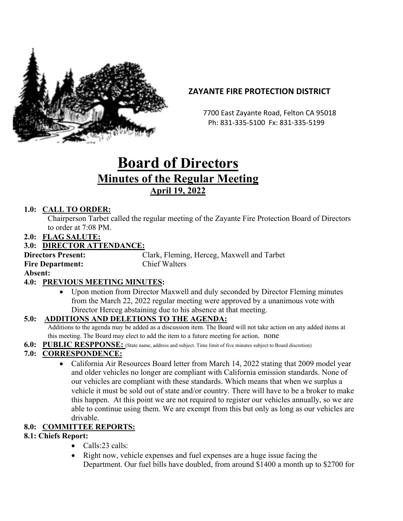

# **ZAYANTE FIRE PROTECTION DISTRICT**

 7700 East Zayante Road, Felton CA 95018 Ph: 831-335-5100 Fx: 831-335-5199

# **Board of Directors Minutes of the Regular Meeting April 19, 2022**

# **1.0: CALL TO ORDER:**

Chairperson Tarbet called the regular meeting of the Zayante Fire Protection Board of Directors to order at 7:08 PM.

#### **2.0: FLAG SALUTE:**

# **3.0: DIRECTOR ATTENDANCE:**

**Fire Department:** Chief Walters

**Directors Present:** Clark, Fleming, Herceg, Maxwell and Tarbet

**Absent:** 

# **4.0: PREVIOUS MEETING MINUTES:**

• Upon motion from Director Maxwell and duly seconded by Director Fleming minutes from the March 22, 2022 regular meeting were approved by a unanimous vote with Director Herceg abstaining due to his absence at that meeting.

# **5.0: ADDITIONS AND DELETIONS TO THE AGENDA:**

Additions to the agenda may be added as a discussion item. The Board will not take action on any added items at this meeting. The Board may elect to add the item to a future meeting for action. none

#### **6.0: PUBLIC RESPPONSE:** (State name, address and subject. Time limit of five minutes subject to Board discretion)

# **7.0: CORRESPONDENCE:**

• California Air Resources Board letter from March 14, 2022 stating that 2009 model year and older vehicles no longer are compliant with California emission standards. None of our vehicles are compliant with these standards. Which means that when we surplus a vehicle it must be sold out of state and/or country. There will have to be a broker to make this happen. At this point we are not required to register our vehicles annually, so we are able to continue using them. We are exempt from this but only as long as our vehicles are drivable.

# **8.0: COMMITTEE REPORTS:**

# **8.1: Chiefs Report:**

- Calls:23 calls:
- Right now, vehicle expenses and fuel expenses are a huge issue facing the Department. Our fuel bills have doubled, from around \$1400 a month up to \$2700 for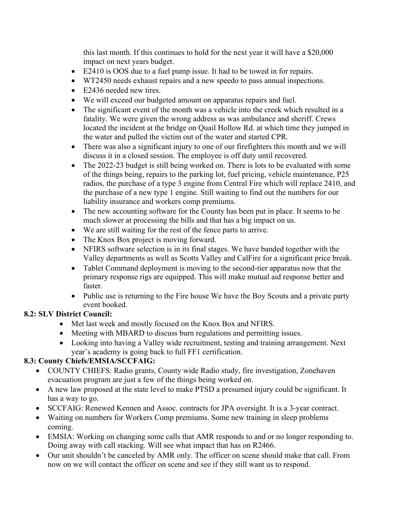this last month. If this continues to hold for the next year it will have a \$20,000 impact on next years budget.

- E2410 is OOS due to a fuel pump issue. It had to be towed in for repairs.
- WT2450 needs exhaust repairs and a new speedo to pass annual inspections.
- E2436 needed new tires.
- We will exceed our budgeted amount on apparatus repairs and fuel.
- The significant event of the month was a vehicle into the creek which resulted in a fatality. We were given the wrong address as was ambulance and sheriff. Crews located the incident at the bridge on Quail Hollow Rd. at which time they jumped in the water and pulled the victim out of the water and started CPR.
- There was also a significant injury to one of our firefighters this month and we will discuss it in a closed session. The employee is off duty until recovered.
- The 2022-23 budget is still being worked on. There is lots to be evaluated with some of the things being, repairs to the parking lot, fuel pricing, vehicle maintenance, P25 radios, the purchase of a type 3 engine from Central Fire which will replace 2410, and the purchase of a new type 1 engine. Still waiting to find out the numbers for our liability insurance and workers comp premiums.
- The new accounting software for the County has been put in place. It seems to be much slower at processing the bills and that has a big impact on us.
- We are still waiting for the rest of the fence parts to arrive.
- The Knox Box project is moving forward.
- NFIRS software selection is in its final stages. We have banded together with the Valley departments as well as Scotts Valley and CalFire for a significant price break.
- Tablet Command deployment is moving to the second-tier apparatus now that the primary response rigs are equipped. This will make mutual aid response better and faster.
- Public use is returning to the Fire house We have the Boy Scouts and a private party event booked.

# **8.2: SLV District Council:**

- Met last week and mostly focused on the Knox Box and NFIRS.
- Meeting with MBARD to discuss burn regulations and permitting issues.
- Looking into having a Valley wide recruitment, testing and training arrangement. Next year's academy is going back to full FF1 certification.

# **8.3: County Chiefs/EMSIA/SCCFAIG:**

- COUNTY CHIEFS: Radio grants, County wide Radio study, fire investigation, Zonehaven evacuation program are just a few of the things being worked on.
- A new law proposed at the state level to make PTSD a presumed injury could be significant. It has a way to go.
- SCCFAIG: Renewed Kennen and Assoc. contracts for JPA oversight. It is a 3-year contract.
- Waiting on numbers for Workers Comp premiums. Some new training in sleep problems coming.
- EMSIA: Working on changing some calls that AMR responds to and or no longer responding to. Doing away with call stacking. Will see what impact that has on R2466.
- Our unit shouldn't be canceled by AMR only. The officer on scene should make that call. From now on we will contact the officer on scene and see if they still want us to respond.